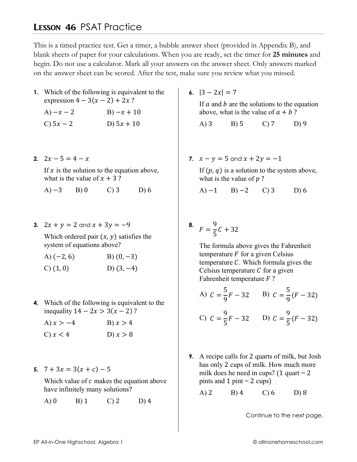## **LESSON 46 PSAT Practice**

This is a timed practice test. Get a timer, a bubble answer sheet (provided in Appendix B), and blank sheets of paper for your calculations. When you are ready, set the timer for 25 minutes and begin. Do not use a calculator. Mark all your answers on the answer sheet. Only answers marked on the answer sheet can be scored. After the test, make sure you review what you missed.

1. Which of the following is equivalent to the expression  $4 - 3(x - 2) + 2x$ ?

| A) $-x-2$   | $B) - x + 10$ |
|-------------|---------------|
| C) $5x - 2$ | D) $5x + 10$  |

2.  $2x-5=4-x$ 

If  $x$  is the solution to the equation above, what is the value of  $x + 3$ ?

 $(A) -3$   $B) 0$  $\mathcal{C}$  3  $D$ ) 6

3.  $2x + y = 2$  and  $x + 3y = -9$ 

Which ordered pair  $(x, y)$  satisfies the system of equations above?

| A) $(-2, 6)$ | B) $(0, -3)$ |
|--------------|--------------|
| C(1,0)       | D) $(3, -4)$ |

**4.** Which of the following is equivalent to the inequality  $14 - 2x > 3(x - 2)$ ?

| A) $x > -4$ | B) $x > 4$ |
|-------------|------------|
| C) $x < 4$  | D) $x > 8$ |

5.  $7 + 3x = 3(x + c) - 5$ 

Which value of  $c$  makes the equation above have infinitely many solutions?

 $A)0$  $B)$  1  $C$ ) 2  $D)$  4 6.  $|3 - 2x| = 7$ 

If  $a$  and  $b$  are the solutions to the equation above, what is the value of  $a + b$ ?

 $A)$  3  $B) 5$  $C$ )  $7$  $D$ ) 9

7.  $x - y = 5$  and  $x + 2y = -1$ 

If  $(p, q)$  is a solution to the system above, what is the value of  $p$ ?

A)  $-1$  B)  $-2$  C) 3  $D$ ) 6

## 8.  $F = \frac{9}{5}C + 32$

The formula above gives the Fahrenheit temperature  $F$  for a given Celsius temperature  $C$ . Which formula gives the Celsius temperature  $C$  for a given Fahrenheit temperature  $F$ ?

A) 
$$
C = \frac{5}{9}F - 32
$$
 B)  $C = \frac{5}{9}(F - 32)$ 

C) 
$$
C = \frac{9}{5}F - 32
$$
 D)  $C = \frac{9}{5}(F - 32)$ 

9. A recipe calls for 2 quarts of milk, but Josh has only 2 cups of milk. How much more milk does he need in cups? (1 quart = 2) pints and 1 pint =  $2 \text{ cups}$ )

 $A)$  2  $B)$  4  $C$ ) 6  $D$ ) 8

Continue to the next page.